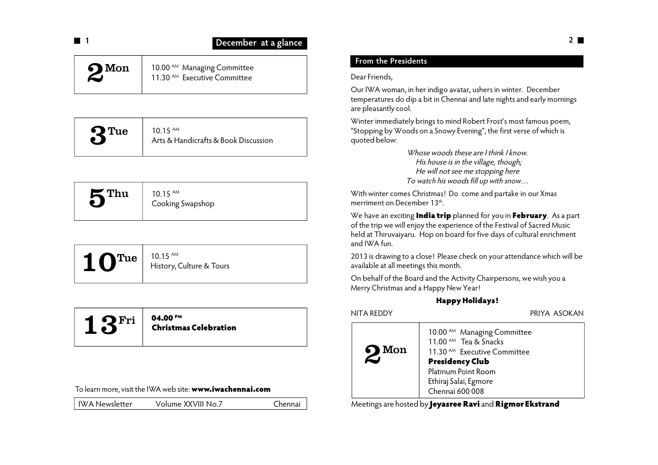| $\overline{\phantom{a}}$<br>œ | December at a glance            |                                          |  |
|-------------------------------|---------------------------------|------------------------------------------|--|
|                               | the contract of the contract of | <b>Presidents</b><br><b>From</b><br>$+h$ |  |

### $2^{\text{Mon}}$ 10.00<sup>AM</sup> Managing Committee 11.30 AM Executive Committee

| 10 15 AM<br>$\mathbf{Q}$ Tue<br>Arts & Handicrafts & Book Discussion |
|----------------------------------------------------------------------|
|----------------------------------------------------------------------|

| $\mathsf{K}$ Thu | $10.15$ <sup>AM</sup><br>Cooking Swapshop |
|------------------|-------------------------------------------|
|                  |                                           |

| $10.15$ AM<br>$10^{Tue}$<br>History, Culture & Tours |
|------------------------------------------------------|
|------------------------------------------------------|

# $13^{\mathrm{Fri}}$   $\frac{04.00 \text{ Pm}}{ \text{Christm}_3}$ **Christmas Celebration**

| To learn more, visit the IWA web site: www.iwachennai.com |  |
|-----------------------------------------------------------|--|
|-----------------------------------------------------------|--|

| IWA Newsletter | Volume XXVIII No.7 | Chennai |
|----------------|--------------------|---------|
|                |                    |         |

# **From the Presidents**

# Dear Friends,

Our IWA woman, in her indigo avatar, ushers in winter. December temperatures do dip a bit in Chennai and late nights and early mornings are pleasantly cool.

Winter immediately brings to mind Robert Frost's most famous poem, "Stopping by Woods on a Snowy Evening", the first verse of which is quoted below:

> *Whose woods these are I think I know. His house is in the village, though; He will not see me stopping here To watch his woods fill up with snow…*

With winter comes Christmas! Do come and partake in our Xmas merriment on December 13<sup>th</sup>.

We have an exciting **India trip** planned for you in **February**. As a part of the trip we will enjoy the experience of the Festival of Sacred Music held at Thiruvaiyaru. Hop on board for five days of cultural enrichment and IWA fun.

2013 is drawing to a close! Please check on your attendance which will be available at all meetings this month.

On behalf of the Board and the Activity Chairpersons, we wish you a Merry Christmas and a Happy New Year!

# **Happy Holidays!**

NITA REDDY PRIYA ASOKAN

| $\sum$ Mon | 10.00 <sup>AM</sup> Managing Committee<br>11.00 <sup>AM</sup> Tea & Snacks<br>11.30 <sup>AM</sup> Executive Committee<br><b>Presidency Club</b><br>Platinum Point Room<br>Ethiraj Salai, Egmore<br>Chennai 600 008 |
|------------|--------------------------------------------------------------------------------------------------------------------------------------------------------------------------------------------------------------------|
|------------|--------------------------------------------------------------------------------------------------------------------------------------------------------------------------------------------------------------------|

Meetings are hosted by **Jeyasree Ravi** and **Rigmor Ekstrand**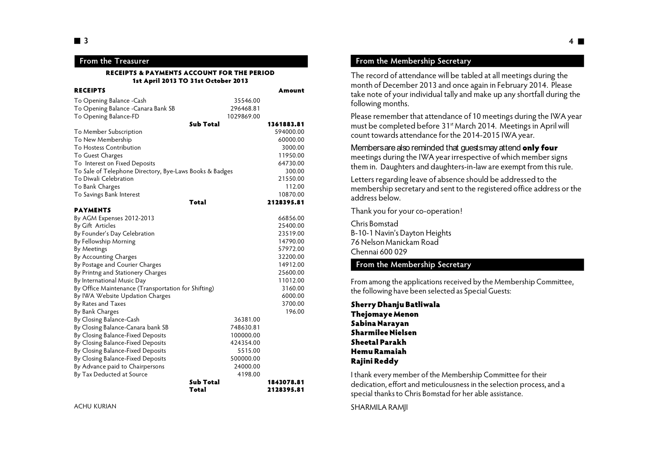### **From the Treasurer**

#### **RECEIPTS & PAYMENTS ACCOUNT FOR THE PERIOD 1st April 2013 TO 31st October 2013**

| <b>RECEIPTS</b>                                         |                    | Amount                   |
|---------------------------------------------------------|--------------------|--------------------------|
| To Opening Balance - Cash                               | 35546.00           |                          |
| To Opening Balance - Canara Bank SB                     | 296468.81          |                          |
| To Opening Balance-FD                                   | 1029869.00         |                          |
|                                                         | <b>Sub Total</b>   | 1361883.81               |
| To Member Subscription                                  |                    | 594000.00                |
| To New Membership                                       |                    | 60000.00                 |
| To Hostess Contribution                                 |                    | 3000.00                  |
| To Guest Charges                                        |                    | 11950.00                 |
| To Interest on Fixed Deposits                           |                    | 64730.00                 |
| To Sale of Telephone Directory, Bye-Laws Books & Badges |                    | 300.00                   |
| To Diwali Celebration                                   |                    | 21550.00                 |
| To Bank Charges                                         |                    | 112.00                   |
| To Savings Bank Interest                                |                    | 10870.00                 |
|                                                         | Total              | 2128395.81               |
| <b>PAYMENTS</b>                                         |                    |                          |
| By AGM Expenses 2012-2013                               |                    | 66856.00                 |
| By Gift Articles                                        |                    | 25400.00                 |
| By Founder's Day Celebration                            |                    | 23519.00                 |
| By Fellowship Morning                                   |                    | 14790.00                 |
| By Meetings                                             |                    | 57972.00                 |
| By Accounting Charges                                   |                    | 32200.00                 |
| By Postage and Courier Charges                          |                    | 14912.00                 |
| By Printng and Stationery Charges                       |                    | 25600.00                 |
| By International Music Day                              |                    | 11012.00                 |
| By Office Maintenance (Transportation for Shifting)     |                    | 3160.00                  |
| By IWA Website Updation Charges                         |                    | 6000.00                  |
| By Rates and Taxes                                      |                    | 3700.00                  |
| By Bank Charges                                         |                    | 196.00                   |
| By Closing Balance-Cash                                 | 36381.00           |                          |
| By Closing Balance-Canara bank SB                       | 748630.81          |                          |
| By Closing Balance-Fixed Deposits                       | 100000.00          |                          |
| By Closing Balance-Fixed Deposits                       | 424354.00          |                          |
| By Closing Balance-Fixed Deposits                       | 5515.00            |                          |
| By Closing Balance-Fixed Deposits                       | 500000.00          |                          |
| By Advance paid to Chairpersons                         | 24000.00           |                          |
| By Tax Deducted at Source                               | 4198.00            |                          |
|                                                         | Sub Total<br>Total | 1843078.81<br>2128395.81 |

### **From the Membership Secretary**

The record of attendance will be tabled at all meetings during the month of December 2013 and once again in February 2014. Please take note of your individual tally and make up any shortfall during the following months.

Please remember that attendance of 10 meetings during the IWA year must be completed before 31<sup>st</sup> March 2014. Meetings in April will count towards attendance for the 2014-2015 IWA year.

Members are also reminded that guests may attend **only four** meetings during the IWA year irrespective of which member signs them in. Daughters and daughters-in-law are exempt from this rule.

Letters regarding leave of absence should be addressed to the membership secretary and sent to the registered office address or the address below.

Thank you for your co-operation!

Chris Bomstad B-10-1 Navin's Dayton Heights 76 Nelson Manickam Road Chennai 600 029

### **From the Membership Secretary**

From among the applications received by the Membership Committee, the following have been selected as Special Guests:

**Sherry Dhanju Batliwala Thejomaye Menon Sabina Narayan Sharmilee Nielsen Sheetal Parakh Hemu Ramaiah Rajini Reddy**

I thank every member of the Membership Committee for their dedication, effort and meticulousness in the selection process, and a special thanks to Chris Bomstad for her able assistance.

SHARMILA RAMJI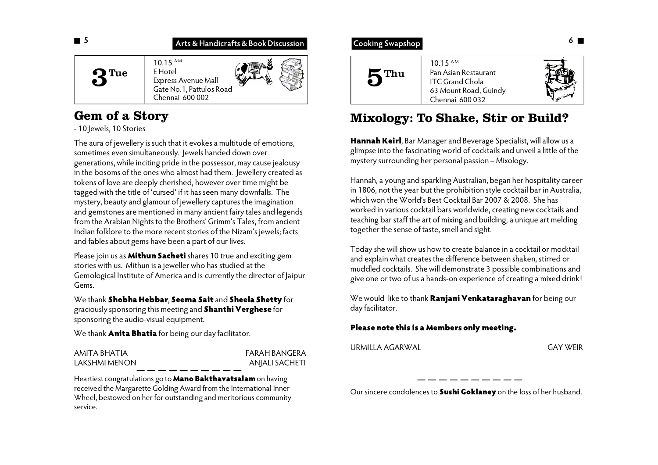## **Arts & Handicrafts & Book Discussion**

10.15 A.M E Hotel Express Avenue Mall Gate No.1, Pattulos Road Chennai 600 002 3 Tue

# **Gem of a Story**

- 10 Jewels, 10 Stories

The aura of jewellery is such that it evokes a multitude of emotions, sometimes even simultaneously. Jewels handed down over generations, while inciting pride in the possessor, may cause jealousy in the bosoms of the ones who almost had them. Jewellery created as tokens of love are deeply cherished, however over time might be tagged with the title of 'cursed' if it has seen many downfalls. The mystery, beauty and glamour of jewellery captures the imagination and gemstones are mentioned in many ancient fairy tales and legends from the Arabian Nights to the Brothers' Grimm's Tales, from ancient Indian folklore to the more recent stories of the Nizam's jewels; facts and fables about gems have been a part of our lives.

Please join us as **Mithun Sacheti** shares 10 true and exciting gem stories with us. Mithun is a jeweller who has studied at the Gemological Institute of America and is currently the director of Jaipur Gems.

We thank **Shobha Hebbar**, **Seema Sait** and **Sheela Shetty** for graciously sponsoring this meeting and **Shanthi Verghese** for sponsoring the audio-visual equipment.

We thank **Anita Bhatia** for being our day facilitator.

### AMITA BHATIA FARAH BANGERA LAKSHMI MENON ANJALI SACHETI

Heartiest congratulations go to **Mano Bakthavatsalam** on having received the Margarette Golding Award from the International Inner Wheel, bestowed on her for outstanding and meritorious community service.

# **Cooking Swapshop**



# **Mixology: To Shake, Stir or Build?**

**Hannah Keirl**, Bar Manager and Beverage Specialist, will allow us a glimpse into the fascinating world of cocktails and unveil a little of the mystery surrounding her personal passion – Mixology.

Hannah, a young and sparkling Australian, began her hospitality career in 1806, not the year but the prohibition style cocktail bar in Australia, which won the World's Best Cocktail Bar 2007 & 2008. She has worked in various cocktail bars worldwide, creating new cocktails and teaching bar staff the art of mixing and building, a unique art melding together the sense of taste, smell and sight.

Today she will show us how to create balance in a cocktail or mocktail and explain what creates the difference between shaken, stirred or muddled cocktails. She will demonstrate 3 possible combinations and give one or two of us a hands-on experience of creating a mixed drink!

We would like to thank **Ranjani Venkataraghavan** for being our day facilitator.

## **Please note this is a Members only meeting.**

URMILLA AGARWAL GAY WEIR

Our sincere condolences to **Sushi Goklaney** on the loss of her husband.

 **5**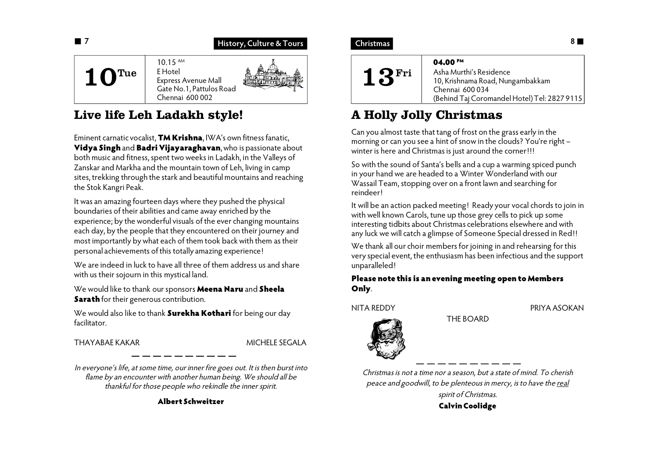

# **Live life Leh Ladakh style!**

Eminent carnatic vocalist, **TM Krishna**, IWA's own fitness fanatic, **Vidya Singh** and **Badri Vijayaraghavan**, who is passionate about both music and fitness, spent two weeks in Ladakh, in the Valleys of Zanskar and Markha and the mountain town of Leh, living in camp sites, trekking through the stark and beautiful mountains and reaching the Stok Kangri Peak.

It was an amazing fourteen days where they pushed the physical boundaries of their abilities and came away enriched by the experience; by the wonderful visuals of the ever changing mountains each day, by the people that they encountered on their journey and most importantly by what each of them took back with them as their personal achievements of this totally amazing experience!

We are indeed in luck to have all three of them address us and share with us their sojourn in this mystical land.

We would like to thank our sponsors **Meena Naru** and **Sheela Sarath** for their generous contribution.

We would also like to thank **Surekha Kothari** for being our day facilitator.

THAYABAF KAKAR MICHELE SEGALA

*In everyone's life, at some time, our inner fire goes out. It is then burst into flame by an encounter with another human being. We should all be thankful for those people who rekindle the inner spirit.*

**Albert Schweitzer**

# **Christmas**



# **A Holly Jolly Christmas**

Can you almost taste that tang of frost on the grass early in the morning or can you see a hint of snow in the clouds? You're right winter is here and Christmas is just around the corner!!!

So with the sound of Santa's bells and a cup a warming spiced punch in your hand we are headed to a Winter Wonderland with our Wassail Team, stopping over on a front lawn and searching for reindeer!

It will be an action packed meeting! Ready your vocal chords to join in with well known Carols, tune up those grey cells to pick up some interesting tidbits about Christmas celebrations elsewhere and with any luck we will catch a glimpse of Someone Special dressed in Red!!

We thank all our choir members for joining in and rehearsing for this very special event, the enthusiasm has been infectious and the support unparalleled!

### **Please note this is an evening meeting open to Members Only**.

NITA REDDY PRIYA ASOKAN



THE BOARD

*Christmas is not a time nor a season, but a state of mind. To cherish peace and goodwill, to be plenteous in mercy, is to have the real spirit of Christmas.* **Calvin Coolidge**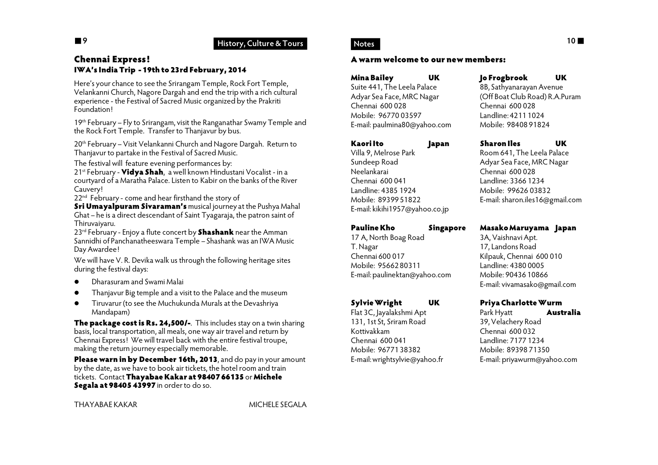## **9 History, Culture & Tours**

### **Chennai Express! IWA's India Trip - 19th to 23rd February, 2014**

Here's your chance to see the Srirangam Temple, Rock Fort Temple, Velankanni Church, Nagore Dargah and end the trip with a rich cultural experience - the Festival of Sacred Music organized by the Prakriti Foundation!

19th February – Fly to Srirangam, visit the Ranganathar Swamy Temple and the Rock Fort Temple. Transfer to Thanjavur by bus.

20<sup>th</sup> February – Visit Velankanni Church and Nagore Dargah. Return to Thanjavur to partake in the Festival of Sacred Music.

The festival will feature evening performances by:

21st February - **Vidya Shah**, a well known Hindustani Vocalist - in a courtyard of a Maratha Palace. Listen to Kabir on the banks of the River Cauvery!

22<sup>nd</sup> February - come and hear firsthand the story of

**Sri Umayalpuram Sivaraman's** musical journey at the Pushya Mahal Ghat – he is a direct descendant of Saint Tyagaraja, the patron saint of Thiruvaiyaru.

23rd February - Enjoy a flute concert by **Shashank** near the Amman Sannidhi of Panchanatheeswara Temple - Shashank was an IWA Music Day Awardee!

We will have V. R. Devika walk us through the following heritage sites during the festival days:

- Dharasuram and Swami Malai
- Thanjavur Big temple and a visit to the Palace and the museum
- Tiruvarur (to see the Muchukunda Murals at the Devashriya Mandapam)

**The package cost is Rs. 24,500/-**. This includes stay on a twin sharing basis, local transportation, all meals, one way air travel and return by Chennai Express! We will travel back with the entire festival troupe, making the return journey especially memorable.

**Please warn in by December 16th, 2013**, and do pay in your amount by the date, as we have to book air tickets, the hotel room and train tickets. Contact **Thayabae Kakar at 98407 66135** or **Michele Segala at 98405 43997** in order to do so.

THAYABAE KAKAR MICHELE SEGALA

### **Notes**

### **A warm welcome to our new members:**

**Mina Bailey UK** Suite 441, The Leela Palace Adyar Sea Face, MRC Nagar Chennai 600 028 Mobile: 96770 03597 E-mail: paulmina80@yahoo.com

### **Kaori Ito Japan**

Villa 9, Melrose Park Sundeep Road Neelankarai Chennai 600 041 Landline: 4385 1924 Mobile: 89399 51822 E-mail: kikihi1957@yahoo.co.jp

**Pauline Kho Singapore** 17 A, North Boag Road T. Nagar Chennai 600 017 Mobile: 95662 80311 E-mail: paulinektan@yahoo.com

### **Sylvie Wright UK**

Flat 3C, Jayalakshmi Apt 131, 1st St, Sriram Road Kottivakkam Chennai 600 041 Mobile: 96771 38382 E-mail: wrightsylvie@yahoo.fr

### **Jo Frogbrook UK**

8B, Sathyanarayan Avenue (Off Boat Club Road) R.A.Puram Chennai 600 028 Landline: 4211 1024 Mobile: 98408 91824

### **Sharon Iles UK**

Room 641, The Leela Palace Adyar Sea Face, MRC Nagar Chennai 600 028 Landline: 3366 1234 Mobile: 99626 03832 E-mail: sharon.iles16@gmail.com

### **Masako Maruyama Japan**

3A, Vaishnavi Apt. 17, Landons Road Kilpauk, Chennai 600 010 Landline: 4380 0005 Mobile: 90436 10866 E-mail: vivamasako@gmail.com

### **Priya Charlotte Wurm**

Park Hyatt **Australia** 39, Velachery Road Chennai 600 032 Landline: 7177 1234 Mobile: 89398 71350 E-mail: priyawurm@yahoo.com